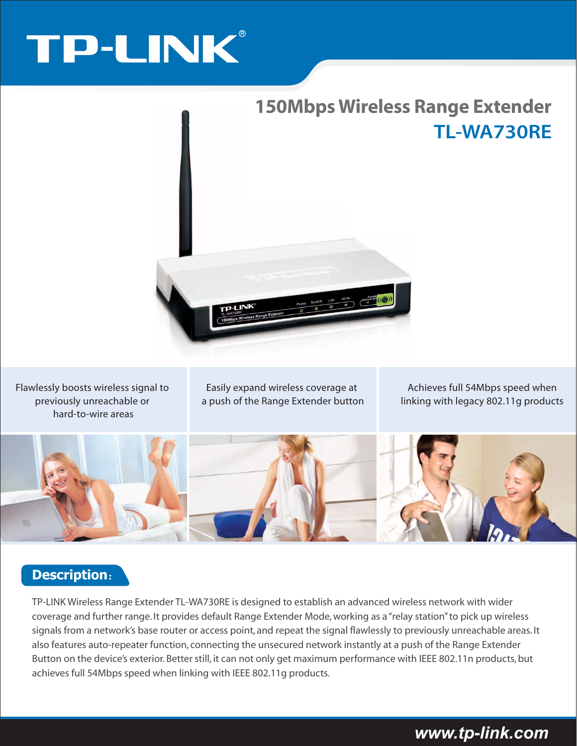# TP-LINK®



Flawlessly boosts wireless signal to previously unreachable or hard-to-wire areas

Easily expand wireless coverage at a push of the Range Extender button

Achieves full 54Mbps speed when linking with legacy 802.11g products



#### **Description**:

TP-LINK Wireless Range Extender TL-WA730RE is designed to establish an advanced wireless network with wider coverage and further range. It provides default Range Extender Mode, working as a "relay station" to pick up wireless signals from a network's base router or access point, and repeat the signal flawlessly to previously unreachable areas. It also features auto-repeater function, connecting the unsecured network instantly at a push of the Range Extender Button on the device's exterior. Better still, it can not only get maximum performance with IEEE 802.11n products, but achieves full 54Mbps speed when linking with IEEE 802.11g products.

# *www.tp-link.com*